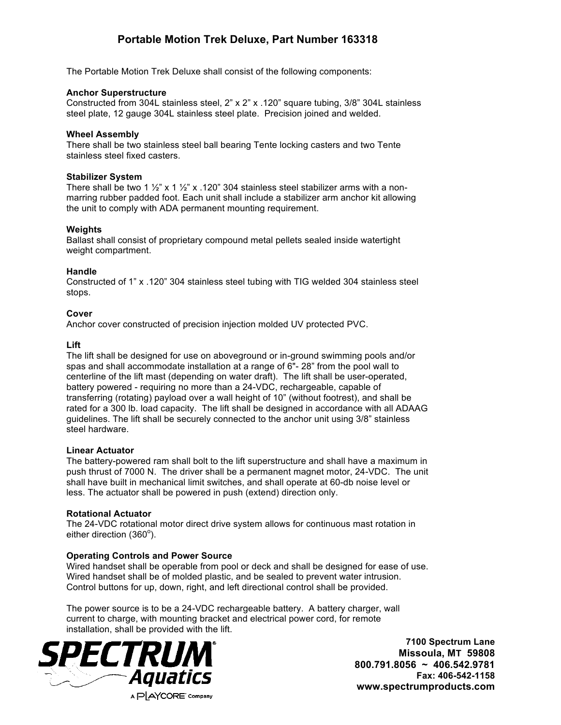# **Portable Motion Trek Deluxe, Part Number 163318**

The Portable Motion Trek Deluxe shall consist of the following components:

#### **Anchor Superstructure**

Constructed from 304L stainless steel, 2" x 2" x .120" square tubing, 3/8" 304L stainless steel plate, 12 gauge 304L stainless steel plate. Precision joined and welded.

#### **Wheel Assembly**

There shall be two stainless steel ball bearing Tente locking casters and two Tente stainless steel fixed casters.

## **Stabilizer System**

There shall be two 1  $\frac{1}{2}$ " x 1  $\frac{1}{2}$ " x .120" 304 stainless steel stabilizer arms with a nonmarring rubber padded foot. Each unit shall include a stabilizer arm anchor kit allowing the unit to comply with ADA permanent mounting requirement.

## **Weights**

Ballast shall consist of proprietary compound metal pellets sealed inside watertight weight compartment.

## **Handle**

Constructed of 1" x .120" 304 stainless steel tubing with TIG welded 304 stainless steel stops.

## **Cover**

Anchor cover constructed of precision injection molded UV protected PVC.

## **Lift**

The lift shall be designed for use on aboveground or in-ground swimming pools and/or spas and shall accommodate installation at a range of 6"- 28" from the pool wall to centerline of the lift mast (depending on water draft). The lift shall be user-operated, battery powered - requiring no more than a 24-VDC, rechargeable, capable of transferring (rotating) payload over a wall height of 10" (without footrest), and shall be rated for a 300 lb. load capacity. The lift shall be designed in accordance with all ADAAG guidelines. The lift shall be securely connected to the anchor unit using 3/8" stainless steel hardware.

#### **Linear Actuator**

The battery-powered ram shall bolt to the lift superstructure and shall have a maximum in push thrust of 7000 N. The driver shall be a permanent magnet motor, 24-VDC. The unit shall have built in mechanical limit switches, and shall operate at 60-db noise level or less. The actuator shall be powered in push (extend) direction only.

#### **Rotational Actuator**

The 24-VDC rotational motor direct drive system allows for continuous mast rotation in either direction (360°).

## **Operating Controls and Power Source**

Wired handset shall be operable from pool or deck and shall be designed for ease of use. Wired handset shall be of molded plastic, and be sealed to prevent water intrusion. Control buttons for up, down, right, and left directional control shall be provided.

The power source is to be a 24-VDC rechargeable battery. A battery charger, wall current to charge, with mounting bracket and electrical power cord, for remote installation, shall be provided with the lift.



**7100 Spectrum Lane Missoula, MT 59808 800.791.8056 ~ 406.542.9781 Fax: 406-542-1158 www.spectrumproducts.com**